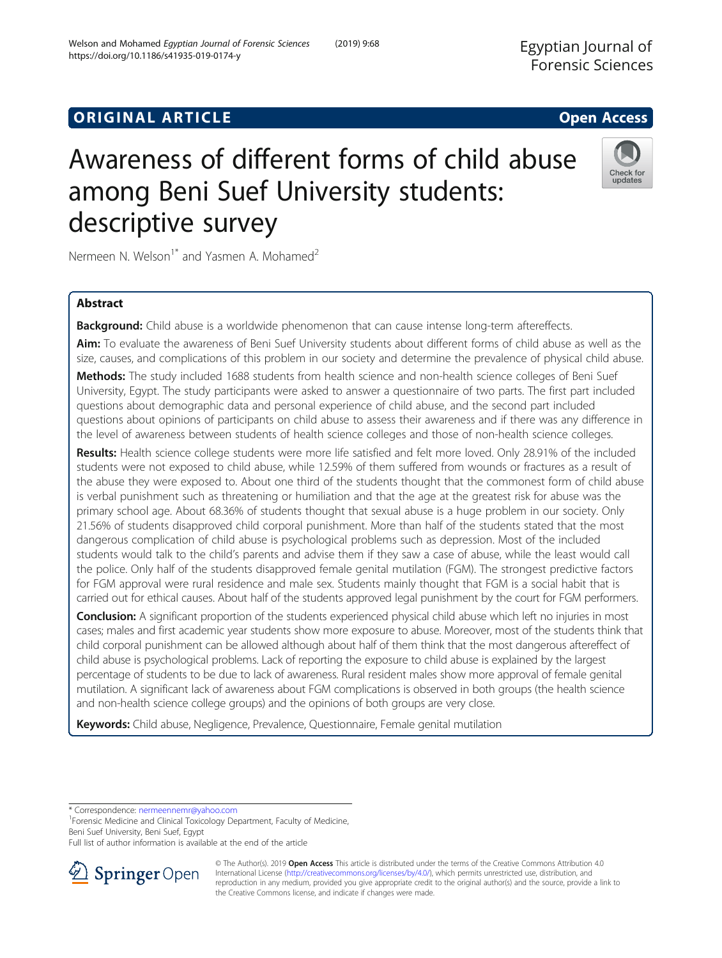# **ORIGINAL ARTICLE CONSERVANCE IN A LOCAL CONSERVANCE IN A LOCAL CONSERVANCE IN A LOCAL CONSERVANCE IN A LOCAL CONS**

# Awareness of different forms of child abuse among Beni Suef University students: descriptive survey

Nermeen N. Welson<sup>1\*</sup> and Yasmen A. Mohamed<sup>2</sup>

# Abstract

**Background:** Child abuse is a worldwide phenomenon that can cause intense long-term aftereffects.

Aim: To evaluate the awareness of Beni Suef University students about different forms of child abuse as well as the size, causes, and complications of this problem in our society and determine the prevalence of physical child abuse.

Methods: The study included 1688 students from health science and non-health science colleges of Beni Suef University, Egypt. The study participants were asked to answer a questionnaire of two parts. The first part included questions about demographic data and personal experience of child abuse, and the second part included questions about opinions of participants on child abuse to assess their awareness and if there was any difference in the level of awareness between students of health science colleges and those of non-health science colleges.

Results: Health science college students were more life satisfied and felt more loved. Only 28.91% of the included students were not exposed to child abuse, while 12.59% of them suffered from wounds or fractures as a result of the abuse they were exposed to. About one third of the students thought that the commonest form of child abuse is verbal punishment such as threatening or humiliation and that the age at the greatest risk for abuse was the primary school age. About 68.36% of students thought that sexual abuse is a huge problem in our society. Only 21.56% of students disapproved child corporal punishment. More than half of the students stated that the most dangerous complication of child abuse is psychological problems such as depression. Most of the included students would talk to the child's parents and advise them if they saw a case of abuse, while the least would call the police. Only half of the students disapproved female genital mutilation (FGM). The strongest predictive factors for FGM approval were rural residence and male sex. Students mainly thought that FGM is a social habit that is carried out for ethical causes. About half of the students approved legal punishment by the court for FGM performers.

**Conclusion:** A significant proportion of the students experienced physical child abuse which left no injuries in most cases; males and first academic year students show more exposure to abuse. Moreover, most of the students think that child corporal punishment can be allowed although about half of them think that the most dangerous aftereffect of child abuse is psychological problems. Lack of reporting the exposure to child abuse is explained by the largest percentage of students to be due to lack of awareness. Rural resident males show more approval of female genital mutilation. A significant lack of awareness about FGM complications is observed in both groups (the health science and non-health science college groups) and the opinions of both groups are very close.

Keywords: Child abuse, Negligence, Prevalence, Questionnaire, Female genital mutilation

\* Correspondence: [nermeennemr@yahoo.com](mailto:nermeennemr@yahoo.com) <sup>1</sup>

<sup>1</sup>Forensic Medicine and Clinical Toxicology Department, Faculty of Medicine, Beni Suef University, Beni Suef, Egypt





<sup>©</sup> The Author(s). 2019 Open Access This article is distributed under the terms of the Creative Commons Attribution 4.0 International License ([http://creativecommons.org/licenses/by/4.0/\)](http://creativecommons.org/licenses/by/4.0/), which permits unrestricted use, distribution, and reproduction in any medium, provided you give appropriate credit to the original author(s) and the source, provide a link to the Creative Commons license, and indicate if changes were made.





Full list of author information is available at the end of the article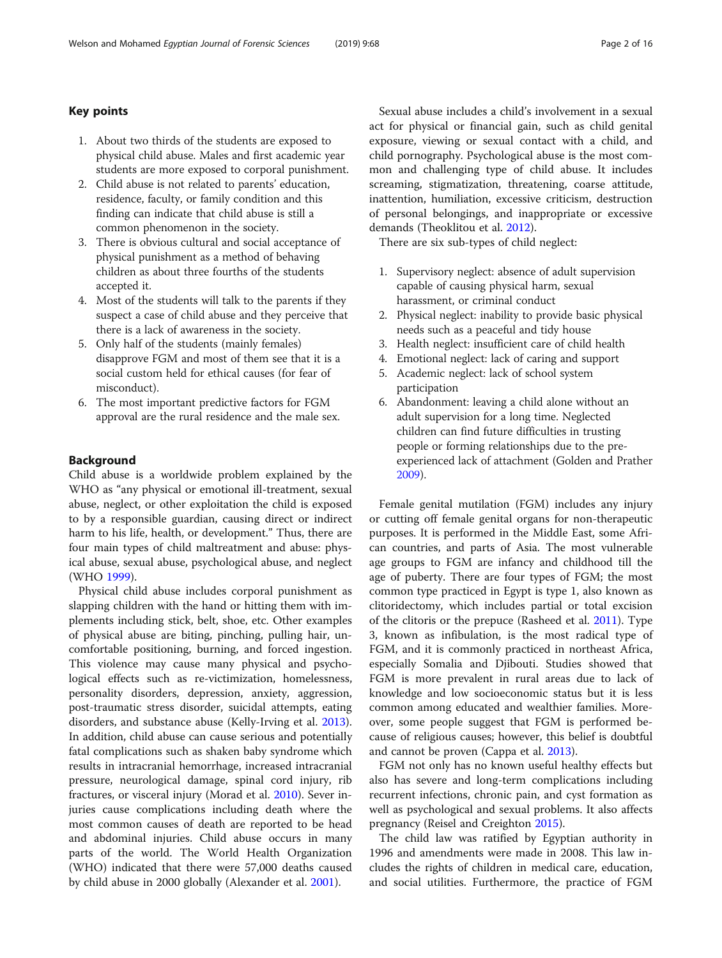# Key points

- 1. About two thirds of the students are exposed to physical child abuse. Males and first academic year students are more exposed to corporal punishment.
- 2. Child abuse is not related to parents' education, residence, faculty, or family condition and this finding can indicate that child abuse is still a common phenomenon in the society.
- 3. There is obvious cultural and social acceptance of physical punishment as a method of behaving children as about three fourths of the students accepted it.
- 4. Most of the students will talk to the parents if they suspect a case of child abuse and they perceive that there is a lack of awareness in the society.
- 5. Only half of the students (mainly females) disapprove FGM and most of them see that it is a social custom held for ethical causes (for fear of misconduct).
- 6. The most important predictive factors for FGM approval are the rural residence and the male sex.

# Background

Child abuse is a worldwide problem explained by the WHO as "any physical or emotional ill-treatment, sexual abuse, neglect, or other exploitation the child is exposed to by a responsible guardian, causing direct or indirect harm to his life, health, or development." Thus, there are four main types of child maltreatment and abuse: physical abuse, sexual abuse, psychological abuse, and neglect (WHO [1999\)](#page-15-0).

Physical child abuse includes corporal punishment as slapping children with the hand or hitting them with implements including stick, belt, shoe, etc. Other examples of physical abuse are biting, pinching, pulling hair, uncomfortable positioning, burning, and forced ingestion. This violence may cause many physical and psychological effects such as re-victimization, homelessness, personality disorders, depression, anxiety, aggression, post-traumatic stress disorder, suicidal attempts, eating disorders, and substance abuse (Kelly-Irving et al. [2013](#page-14-0)). In addition, child abuse can cause serious and potentially fatal complications such as shaken baby syndrome which results in intracranial hemorrhage, increased intracranial pressure, neurological damage, spinal cord injury, rib fractures, or visceral injury (Morad et al. [2010\)](#page-14-0). Sever injuries cause complications including death where the most common causes of death are reported to be head and abdominal injuries. Child abuse occurs in many parts of the world. The World Health Organization (WHO) indicated that there were 57,000 deaths caused by child abuse in 2000 globally (Alexander et al. [2001](#page-14-0)).

Sexual abuse includes a child's involvement in a sexual act for physical or financial gain, such as child genital exposure, viewing or sexual contact with a child, and child pornography. Psychological abuse is the most common and challenging type of child abuse. It includes screaming, stigmatization, threatening, coarse attitude, inattention, humiliation, excessive criticism, destruction of personal belongings, and inappropriate or excessive demands (Theoklitou et al. [2012\)](#page-15-0).

There are six sub-types of child neglect:

- 1. Supervisory neglect: absence of adult supervision capable of causing physical harm, sexual harassment, or criminal conduct
- 2. Physical neglect: inability to provide basic physical needs such as a peaceful and tidy house
- 3. Health neglect: insufficient care of child health
- 4. Emotional neglect: lack of caring and support 5. Academic neglect: lack of school system
- participation
- 6. Abandonment: leaving a child alone without an adult supervision for a long time. Neglected children can find future difficulties in trusting people or forming relationships due to the preexperienced lack of attachment (Golden and Prather [2009\)](#page-14-0).

Female genital mutilation (FGM) includes any injury or cutting off female genital organs for non-therapeutic purposes. It is performed in the Middle East, some African countries, and parts of Asia. The most vulnerable age groups to FGM are infancy and childhood till the age of puberty. There are four types of FGM; the most common type practiced in Egypt is type 1, also known as clitoridectomy, which includes partial or total excision of the clitoris or the prepuce (Rasheed et al. [2011](#page-14-0)). Type 3, known as infibulation, is the most radical type of FGM, and it is commonly practiced in northeast Africa, especially Somalia and Djibouti. Studies showed that FGM is more prevalent in rural areas due to lack of knowledge and low socioeconomic status but it is less common among educated and wealthier families. Moreover, some people suggest that FGM is performed because of religious causes; however, this belief is doubtful and cannot be proven (Cappa et al. [2013](#page-14-0)).

FGM not only has no known useful healthy effects but also has severe and long-term complications including recurrent infections, chronic pain, and cyst formation as well as psychological and sexual problems. It also affects pregnancy (Reisel and Creighton [2015](#page-14-0)).

The child law was ratified by Egyptian authority in 1996 and amendments were made in 2008. This law includes the rights of children in medical care, education, and social utilities. Furthermore, the practice of FGM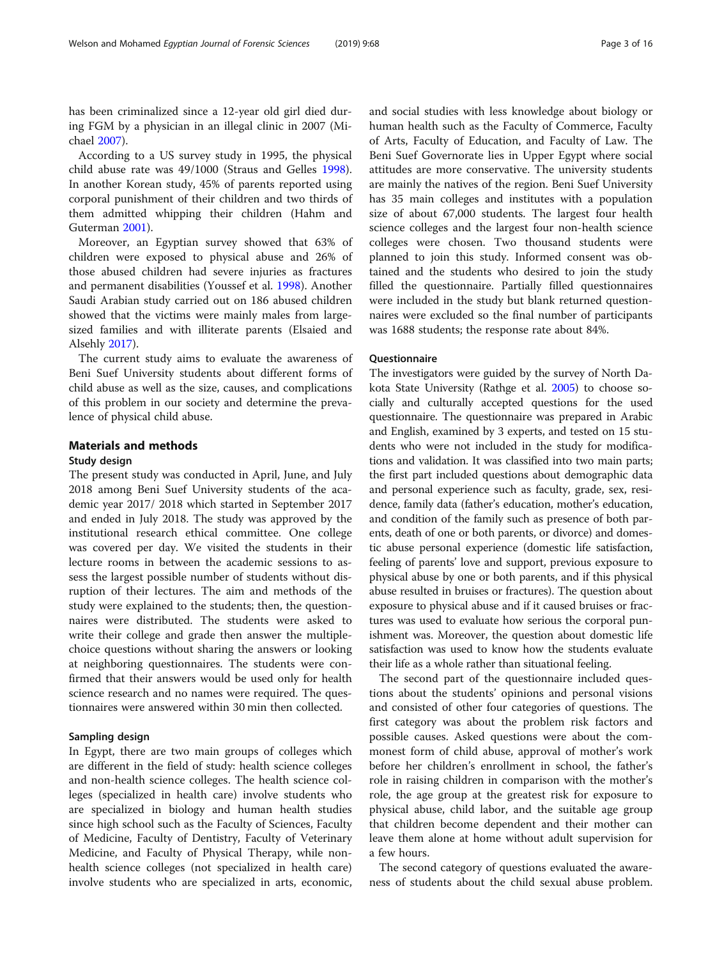has been criminalized since a 12-year old girl died during FGM by a physician in an illegal clinic in 2007 (Michael [2007](#page-14-0)).

According to a US survey study in 1995, the physical child abuse rate was 49/1000 (Straus and Gelles [1998](#page-15-0)). In another Korean study, 45% of parents reported using corporal punishment of their children and two thirds of them admitted whipping their children (Hahm and Guterman [2001](#page-14-0)).

Moreover, an Egyptian survey showed that 63% of children were exposed to physical abuse and 26% of those abused children had severe injuries as fractures and permanent disabilities (Youssef et al. [1998](#page-15-0)). Another Saudi Arabian study carried out on 186 abused children showed that the victims were mainly males from largesized families and with illiterate parents (Elsaied and Alsehly [2017](#page-14-0)).

The current study aims to evaluate the awareness of Beni Suef University students about different forms of child abuse as well as the size, causes, and complications of this problem in our society and determine the prevalence of physical child abuse.

# Materials and methods

# Study design

The present study was conducted in April, June, and July 2018 among Beni Suef University students of the academic year 2017/ 2018 which started in September 2017 and ended in July 2018. The study was approved by the institutional research ethical committee. One college was covered per day. We visited the students in their lecture rooms in between the academic sessions to assess the largest possible number of students without disruption of their lectures. The aim and methods of the study were explained to the students; then, the questionnaires were distributed. The students were asked to write their college and grade then answer the multiplechoice questions without sharing the answers or looking at neighboring questionnaires. The students were confirmed that their answers would be used only for health science research and no names were required. The questionnaires were answered within 30 min then collected.

# Sampling design

In Egypt, there are two main groups of colleges which are different in the field of study: health science colleges and non-health science colleges. The health science colleges (specialized in health care) involve students who are specialized in biology and human health studies since high school such as the Faculty of Sciences, Faculty of Medicine, Faculty of Dentistry, Faculty of Veterinary Medicine, and Faculty of Physical Therapy, while nonhealth science colleges (not specialized in health care) involve students who are specialized in arts, economic, and social studies with less knowledge about biology or human health such as the Faculty of Commerce, Faculty of Arts, Faculty of Education, and Faculty of Law. The Beni Suef Governorate lies in Upper Egypt where social attitudes are more conservative. The university students are mainly the natives of the region. Beni Suef University has 35 main colleges and institutes with a population size of about 67,000 students. The largest four health science colleges and the largest four non-health science colleges were chosen. Two thousand students were planned to join this study. Informed consent was obtained and the students who desired to join the study filled the questionnaire. Partially filled questionnaires were included in the study but blank returned questionnaires were excluded so the final number of participants was 1688 students; the response rate about 84%.

# Questionnaire

The investigators were guided by the survey of North Dakota State University (Rathge et al. [2005](#page-14-0)) to choose socially and culturally accepted questions for the used questionnaire. The questionnaire was prepared in Arabic and English, examined by 3 experts, and tested on 15 students who were not included in the study for modifications and validation. It was classified into two main parts; the first part included questions about demographic data and personal experience such as faculty, grade, sex, residence, family data (father's education, mother's education, and condition of the family such as presence of both parents, death of one or both parents, or divorce) and domestic abuse personal experience (domestic life satisfaction, feeling of parents' love and support, previous exposure to physical abuse by one or both parents, and if this physical abuse resulted in bruises or fractures). The question about exposure to physical abuse and if it caused bruises or fractures was used to evaluate how serious the corporal punishment was. Moreover, the question about domestic life satisfaction was used to know how the students evaluate their life as a whole rather than situational feeling.

The second part of the questionnaire included questions about the students' opinions and personal visions and consisted of other four categories of questions. The first category was about the problem risk factors and possible causes. Asked questions were about the commonest form of child abuse, approval of mother's work before her children's enrollment in school, the father's role in raising children in comparison with the mother's role, the age group at the greatest risk for exposure to physical abuse, child labor, and the suitable age group that children become dependent and their mother can leave them alone at home without adult supervision for a few hours.

The second category of questions evaluated the awareness of students about the child sexual abuse problem.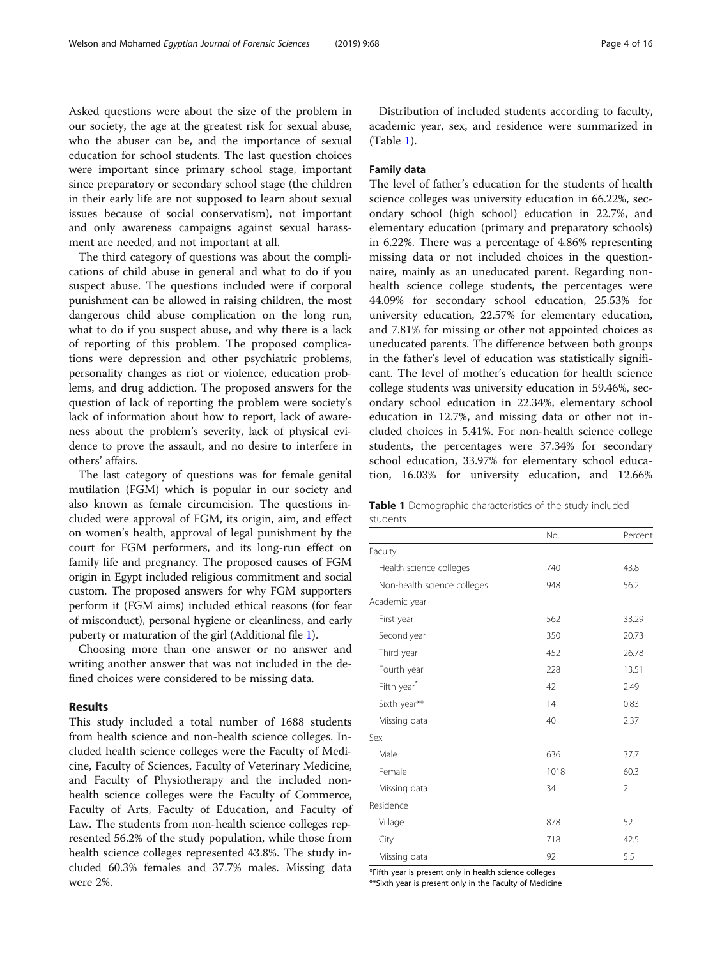Asked questions were about the size of the problem in our society, the age at the greatest risk for sexual abuse, who the abuser can be, and the importance of sexual education for school students. The last question choices were important since primary school stage, important since preparatory or secondary school stage (the children in their early life are not supposed to learn about sexual issues because of social conservatism), not important and only awareness campaigns against sexual harassment are needed, and not important at all.

The third category of questions was about the complications of child abuse in general and what to do if you suspect abuse. The questions included were if corporal punishment can be allowed in raising children, the most dangerous child abuse complication on the long run, what to do if you suspect abuse, and why there is a lack of reporting of this problem. The proposed complications were depression and other psychiatric problems, personality changes as riot or violence, education problems, and drug addiction. The proposed answers for the question of lack of reporting the problem were society's lack of information about how to report, lack of awareness about the problem's severity, lack of physical evidence to prove the assault, and no desire to interfere in others' affairs.

The last category of questions was for female genital mutilation (FGM) which is popular in our society and also known as female circumcision. The questions included were approval of FGM, its origin, aim, and effect on women's health, approval of legal punishment by the court for FGM performers, and its long-run effect on family life and pregnancy. The proposed causes of FGM origin in Egypt included religious commitment and social custom. The proposed answers for why FGM supporters perform it (FGM aims) included ethical reasons (for fear of misconduct), personal hygiene or cleanliness, and early puberty or maturation of the girl (Additional file [1](#page-14-0)).

Choosing more than one answer or no answer and writing another answer that was not included in the defined choices were considered to be missing data.

# Results

This study included a total number of 1688 students from health science and non-health science colleges. Included health science colleges were the Faculty of Medicine, Faculty of Sciences, Faculty of Veterinary Medicine, and Faculty of Physiotherapy and the included nonhealth science colleges were the Faculty of Commerce, Faculty of Arts, Faculty of Education, and Faculty of Law. The students from non-health science colleges represented 56.2% of the study population, while those from health science colleges represented 43.8%. The study included 60.3% females and 37.7% males. Missing data were 2%.

Distribution of included students according to faculty, academic year, sex, and residence were summarized in (Table 1).

# Family data

The level of father's education for the students of health science colleges was university education in 66.22%, secondary school (high school) education in 22.7%, and elementary education (primary and preparatory schools) in 6.22%. There was a percentage of 4.86% representing missing data or not included choices in the questionnaire, mainly as an uneducated parent. Regarding nonhealth science college students, the percentages were 44.09% for secondary school education, 25.53% for university education, 22.57% for elementary education, and 7.81% for missing or other not appointed choices as uneducated parents. The difference between both groups in the father's level of education was statistically significant. The level of mother's education for health science college students was university education in 59.46%, secondary school education in 22.34%, elementary school education in 12.7%, and missing data or other not included choices in 5.41%. For non-health science college students, the percentages were 37.34% for secondary school education, 33.97% for elementary school education, 16.03% for university education, and 12.66%

|          | Table 1 Demographic characteristics of the study included |  |  |
|----------|-----------------------------------------------------------|--|--|
| students |                                                           |  |  |

|                             | No.  | Percent        |
|-----------------------------|------|----------------|
| Faculty                     |      |                |
| Health science colleges     | 740  | 43.8           |
| Non-health science colleges | 948  | 56.2           |
| Academic year               |      |                |
| First year                  | 562  | 33.29          |
| Second year                 | 350  | 20.73          |
| Third year                  | 452  | 26.78          |
| Fourth year                 | 228  | 13.51          |
| Fifth year*                 | 42   | 2.49           |
| Sixth year**                | 14   | 0.83           |
| Missing data                | 40   | 2.37           |
| Sex                         |      |                |
| Male                        | 636  | 37.7           |
| Female                      | 1018 | 60.3           |
| Missing data                | 34   | $\overline{2}$ |
| Residence                   |      |                |
| Village                     | 878  | 52             |
| City                        | 718  | 42.5           |
| Missing data                | 92   | 5.5            |

\*Fifth year is present only in health science colleges

\*\*Sixth year is present only in the Faculty of Medicine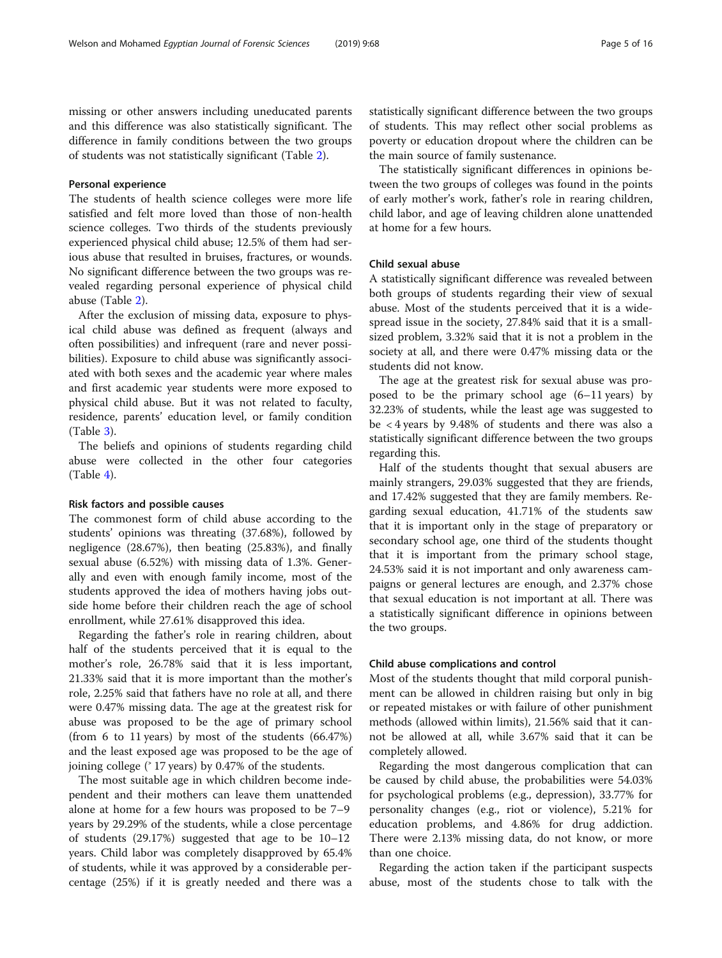missing or other answers including uneducated parents and this difference was also statistically significant. The difference in family conditions between the two groups of students was not statistically significant (Table [2](#page-5-0)).

# Personal experience

The students of health science colleges were more life satisfied and felt more loved than those of non-health science colleges. Two thirds of the students previously experienced physical child abuse; 12.5% of them had serious abuse that resulted in bruises, fractures, or wounds. No significant difference between the two groups was revealed regarding personal experience of physical child abuse (Table [2\)](#page-5-0).

After the exclusion of missing data, exposure to physical child abuse was defined as frequent (always and often possibilities) and infrequent (rare and never possibilities). Exposure to child abuse was significantly associated with both sexes and the academic year where males and first academic year students were more exposed to physical child abuse. But it was not related to faculty, residence, parents' education level, or family condition (Table [3\)](#page-6-0).

The beliefs and opinions of students regarding child abuse were collected in the other four categories  $(Table 4)$  $(Table 4)$ .

# Risk factors and possible causes

The commonest form of child abuse according to the students' opinions was threating (37.68%), followed by negligence (28.67%), then beating (25.83%), and finally sexual abuse (6.52%) with missing data of 1.3%. Generally and even with enough family income, most of the students approved the idea of mothers having jobs outside home before their children reach the age of school enrollment, while 27.61% disapproved this idea.

Regarding the father's role in rearing children, about half of the students perceived that it is equal to the mother's role, 26.78% said that it is less important, 21.33% said that it is more important than the mother's role, 2.25% said that fathers have no role at all, and there were 0.47% missing data. The age at the greatest risk for abuse was proposed to be the age of primary school (from 6 to 11 years) by most of the students (66.47%) and the least exposed age was proposed to be the age of joining college (˃ 17 years) by 0.47% of the students.

The most suitable age in which children become independent and their mothers can leave them unattended alone at home for a few hours was proposed to be 7–9 years by 29.29% of the students, while a close percentage of students (29.17%) suggested that age to be 10–12 years. Child labor was completely disapproved by 65.4% of students, while it was approved by a considerable percentage (25%) if it is greatly needed and there was a statistically significant difference between the two groups of students. This may reflect other social problems as poverty or education dropout where the children can be the main source of family sustenance.

The statistically significant differences in opinions between the two groups of colleges was found in the points of early mother's work, father's role in rearing children, child labor, and age of leaving children alone unattended at home for a few hours.

# Child sexual abuse

A statistically significant difference was revealed between both groups of students regarding their view of sexual abuse. Most of the students perceived that it is a widespread issue in the society, 27.84% said that it is a smallsized problem, 3.32% said that it is not a problem in the society at all, and there were 0.47% missing data or the students did not know.

The age at the greatest risk for sexual abuse was proposed to be the primary school age (6–11 years) by 32.23% of students, while the least age was suggested to be < 4 years by 9.48% of students and there was also a statistically significant difference between the two groups regarding this.

Half of the students thought that sexual abusers are mainly strangers, 29.03% suggested that they are friends, and 17.42% suggested that they are family members. Regarding sexual education, 41.71% of the students saw that it is important only in the stage of preparatory or secondary school age, one third of the students thought that it is important from the primary school stage, 24.53% said it is not important and only awareness campaigns or general lectures are enough, and 2.37% chose that sexual education is not important at all. There was a statistically significant difference in opinions between the two groups.

# Child abuse complications and control

Most of the students thought that mild corporal punishment can be allowed in children raising but only in big or repeated mistakes or with failure of other punishment methods (allowed within limits), 21.56% said that it cannot be allowed at all, while 3.67% said that it can be completely allowed.

Regarding the most dangerous complication that can be caused by child abuse, the probabilities were 54.03% for psychological problems (e.g., depression), 33.77% for personality changes (e.g., riot or violence), 5.21% for education problems, and 4.86% for drug addiction. There were 2.13% missing data, do not know, or more than one choice.

Regarding the action taken if the participant suspects abuse, most of the students chose to talk with the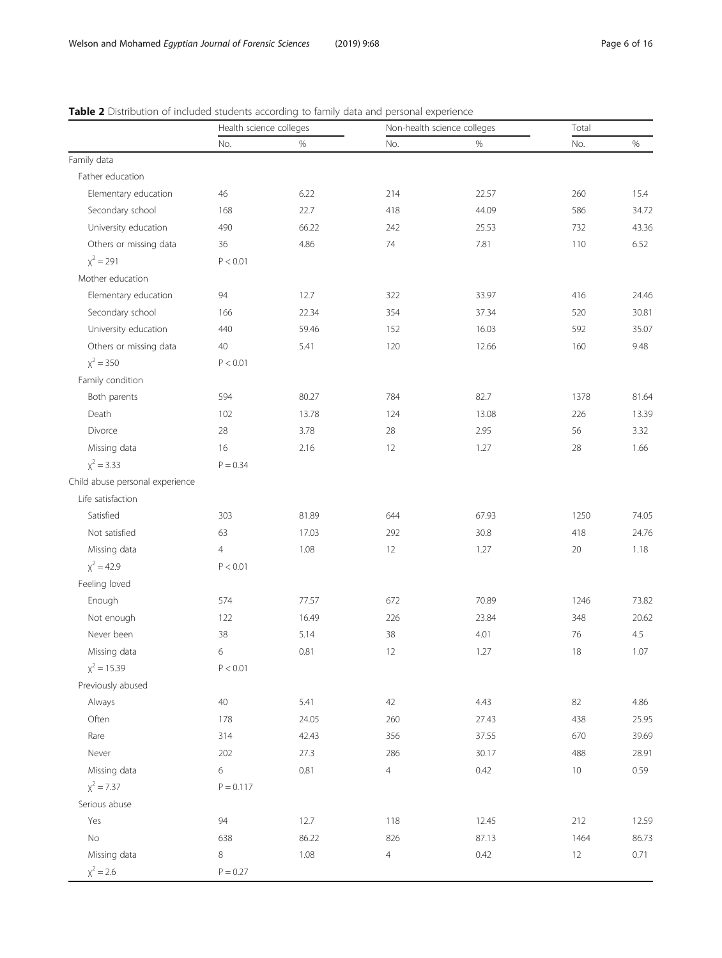|                                 | Health science colleges |       |                | Non-health science colleges |      | Total |  |
|---------------------------------|-------------------------|-------|----------------|-----------------------------|------|-------|--|
|                                 | No.                     | $\%$  | No.            | $\%$                        | No.  | $\%$  |  |
| Family data                     |                         |       |                |                             |      |       |  |
| Father education                |                         |       |                |                             |      |       |  |
| Elementary education            | 46                      | 6.22  | 214            | 22.57                       | 260  | 15.4  |  |
| Secondary school                | 168                     | 22.7  | 418            | 44.09                       | 586  | 34.72 |  |
| University education            | 490                     | 66.22 | 242            | 25.53                       | 732  | 43.36 |  |
| Others or missing data          | 36                      | 4.86  | 74             | 7.81                        | 110  | 6.52  |  |
| $x^2 = 291$                     | P < 0.01                |       |                |                             |      |       |  |
| Mother education                |                         |       |                |                             |      |       |  |
| Elementary education            | 94                      | 12.7  | 322            | 33.97                       | 416  | 24.46 |  |
| Secondary school                | 166                     | 22.34 | 354            | 37.34                       | 520  | 30.81 |  |
| University education            | 440                     | 59.46 | 152            | 16.03                       | 592  | 35.07 |  |
| Others or missing data          | 40                      | 5.41  | 120            | 12.66                       | 160  | 9.48  |  |
| $x^2 = 350$                     | P < 0.01                |       |                |                             |      |       |  |
| Family condition                |                         |       |                |                             |      |       |  |
| Both parents                    | 594                     | 80.27 | 784            | 82.7                        | 1378 | 81.64 |  |
| Death                           | 102                     | 13.78 | 124            | 13.08                       | 226  | 13.39 |  |
| Divorce                         | 28                      | 3.78  | 28             | 2.95                        | 56   | 3.32  |  |
| Missing data                    | 16                      | 2.16  | 12             | 1.27                        | 28   | 1.66  |  |
| $x^2 = 3.33$                    | $P = 0.34$              |       |                |                             |      |       |  |
| Child abuse personal experience |                         |       |                |                             |      |       |  |
| Life satisfaction               |                         |       |                |                             |      |       |  |
| Satisfied                       | 303                     | 81.89 | 644            | 67.93                       | 1250 | 74.05 |  |
| Not satisfied                   | 63                      | 17.03 | 292            | 30.8                        | 418  | 24.76 |  |
| Missing data                    | $\overline{4}$          | 1.08  | 12             | 1.27                        | 20   | 1.18  |  |
| $x^2 = 42.9$                    | P < 0.01                |       |                |                             |      |       |  |
| Feeling loved                   |                         |       |                |                             |      |       |  |
| Enough                          | 574                     | 77.57 | 672            | 70.89                       | 1246 | 73.82 |  |
| Not enough                      | 122                     | 16.49 | 226            | 23.84                       | 348  | 20.62 |  |
| Never been                      | 38                      | 5.14  | 38             | 4.01                        | 76   | 4.5   |  |
| Missing data                    | 6                       | 0.81  | 12             | 1.27                        | 18   | 1.07  |  |
| $x^2 = 15.39$                   | P < 0.01                |       |                |                             |      |       |  |
| Previously abused               |                         |       |                |                             |      |       |  |
| Always                          | 40                      | 5.41  | 42             | 4.43                        | 82   | 4.86  |  |
| Often                           | 178                     | 24.05 | 260            | 27.43                       | 438  | 25.95 |  |
| Rare                            | 314                     | 42.43 | 356            | 37.55                       | 670  | 39.69 |  |
| Never                           | 202                     | 27.3  | 286            | 30.17                       | 488  | 28.91 |  |
| Missing data                    | 6                       | 0.81  | $\overline{4}$ | 0.42                        | 10   | 0.59  |  |
| $x^2 = 7.37$                    | $P = 0.117$             |       |                |                             |      |       |  |
| Serious abuse                   |                         |       |                |                             |      |       |  |
| Yes                             | 94                      | 12.7  | 118            | 12.45                       | 212  | 12.59 |  |
| $\rm No$                        | 638                     | 86.22 | 826            | 87.13                       | 1464 | 86.73 |  |
| Missing data                    | 8                       | 1.08  | $\overline{4}$ | 0.42                        | 12   | 0.71  |  |
| $x^2 = 2.6$                     | $P = 0.27$              |       |                |                             |      |       |  |

# <span id="page-5-0"></span>Table 2 Distribution of included students according to family data and personal experience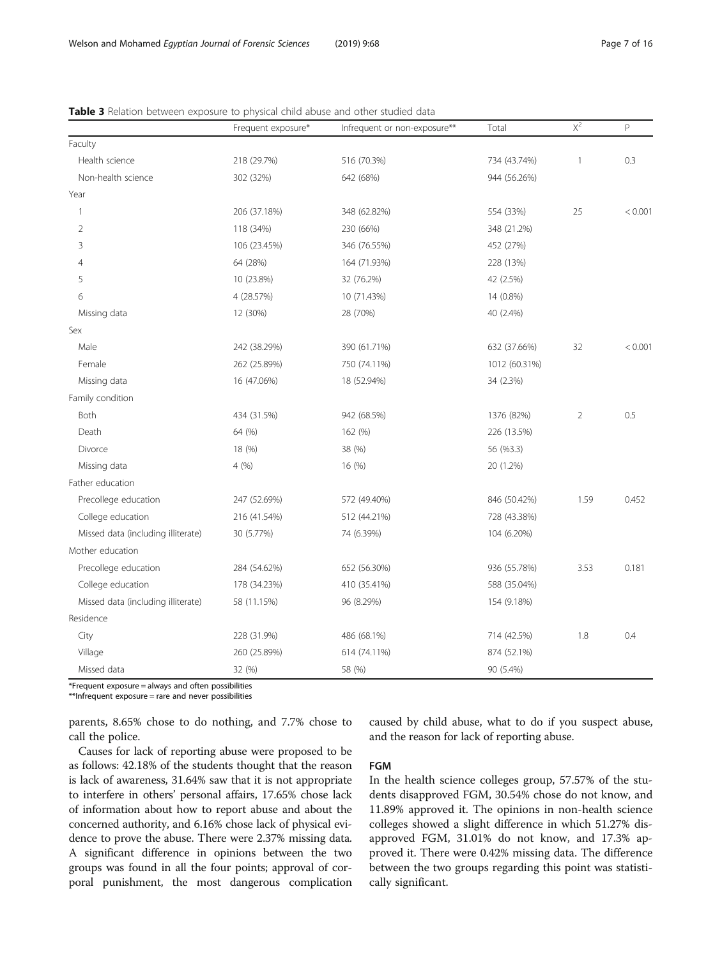|                                    | Frequent exposure* | Infrequent or non-exposure** | Total         | $\mathsf{X}^2$ | P       |
|------------------------------------|--------------------|------------------------------|---------------|----------------|---------|
| Faculty                            |                    |                              |               |                |         |
| Health science                     | 218 (29.7%)        | 516 (70.3%)                  | 734 (43.74%)  | $\mathbf{1}$   | 0.3     |
| Non-health science                 | 302 (32%)          | 642 (68%)                    | 944 (56.26%)  |                |         |
| Year                               |                    |                              |               |                |         |
| $\mathbf{1}$                       | 206 (37.18%)       | 348 (62.82%)                 | 554 (33%)     | 25             | < 0.001 |
| 2                                  | 118 (34%)          | 230 (66%)                    | 348 (21.2%)   |                |         |
| 3                                  | 106 (23.45%)       | 346 (76.55%)                 | 452 (27%)     |                |         |
| 4                                  | 64 (28%)           | 164 (71.93%)                 | 228 (13%)     |                |         |
| 5                                  | 10 (23.8%)         | 32 (76.2%)                   | 42 (2.5%)     |                |         |
| 6                                  | 4 (28.57%)         | 10 (71.43%)                  | 14 (0.8%)     |                |         |
| Missing data                       | 12 (30%)           | 28 (70%)                     | 40 (2.4%)     |                |         |
| Sex                                |                    |                              |               |                |         |
| Male                               | 242 (38.29%)       | 390 (61.71%)                 | 632 (37.66%)  | 32             | < 0.001 |
| Female                             | 262 (25.89%)       | 750 (74.11%)                 | 1012 (60.31%) |                |         |
| Missing data                       | 16 (47.06%)        | 18 (52.94%)                  | 34 (2.3%)     |                |         |
| Family condition                   |                    |                              |               |                |         |
| Both                               | 434 (31.5%)        | 942 (68.5%)                  | 1376 (82%)    | $\overline{2}$ | 0.5     |
| Death                              | 64 (%)             | 162 (%)                      | 226 (13.5%)   |                |         |
| Divorce                            | 18 (%)             | 38 (%)                       | 56 (%3.3)     |                |         |
| Missing data                       | 4(%)               | 16 (%)                       | 20 (1.2%)     |                |         |
| Father education                   |                    |                              |               |                |         |
| Precollege education               | 247 (52.69%)       | 572 (49.40%)                 | 846 (50.42%)  | 1.59           | 0.452   |
| College education                  | 216 (41.54%)       | 512 (44.21%)                 | 728 (43.38%)  |                |         |
| Missed data (including illiterate) | 30 (5.77%)         | 74 (6.39%)                   | 104 (6.20%)   |                |         |
| Mother education                   |                    |                              |               |                |         |
| Precollege education               | 284 (54.62%)       | 652 (56.30%)                 | 936 (55.78%)  | 3.53           | 0.181   |
| College education                  | 178 (34.23%)       | 410 (35.41%)                 | 588 (35.04%)  |                |         |
| Missed data (including illiterate) | 58 (11.15%)        | 96 (8.29%)                   | 154 (9.18%)   |                |         |
| Residence                          |                    |                              |               |                |         |
| City                               | 228 (31.9%)        | 486 (68.1%)                  | 714 (42.5%)   | 1.8            | 0.4     |
| Village                            | 260 (25.89%)       | 614 (74.11%)                 | 874 (52.1%)   |                |         |
| Missed data                        | 32 (%)             | 58 (%)                       | 90 (5.4%)     |                |         |

<span id="page-6-0"></span>Table 3 Relation between exposure to physical child abuse and other studied data

\*Frequent exposure = always and often possibilities

\*\*Infrequent exposure = rare and never possibilities

parents, 8.65% chose to do nothing, and 7.7% chose to call the police.

Causes for lack of reporting abuse were proposed to be as follows: 42.18% of the students thought that the reason is lack of awareness, 31.64% saw that it is not appropriate to interfere in others' personal affairs, 17.65% chose lack of information about how to report abuse and about the concerned authority, and 6.16% chose lack of physical evidence to prove the abuse. There were 2.37% missing data. A significant difference in opinions between the two groups was found in all the four points; approval of corporal punishment, the most dangerous complication caused by child abuse, what to do if you suspect abuse, and the reason for lack of reporting abuse.

# FGM

In the health science colleges group, 57.57% of the students disapproved FGM, 30.54% chose do not know, and 11.89% approved it. The opinions in non-health science colleges showed a slight difference in which 51.27% disapproved FGM, 31.01% do not know, and 17.3% approved it. There were 0.42% missing data. The difference between the two groups regarding this point was statistically significant.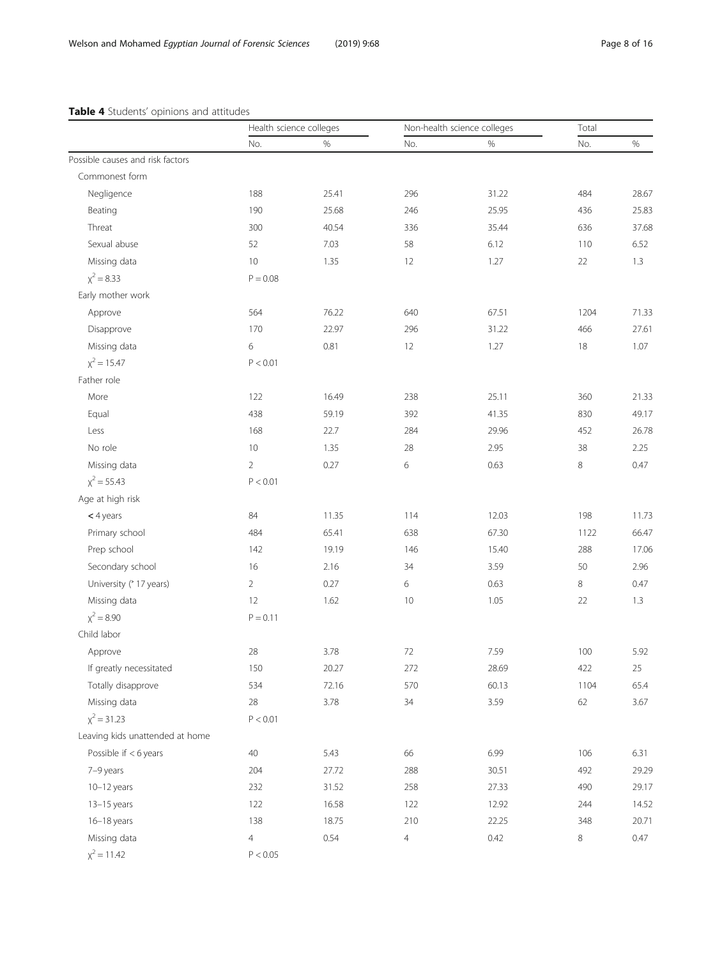# Health science colleges Non-health science colleges Total No. % No. % No. % Possible causes and risk factors Commonest form Negligence 188 25.41 296 31.22 484 28.67 Beating 190 25.68 246 25.95 436 25.83 Threat 300 300 40.54 336 35.44 636 37.68 Sexual abuse 52 52 7.03 58 6.12 58 6.12 58 6.12 58 6.52 Missing data 10 1.35 12 1.27 22 1.3  $x^2 = 8.33$  $P = 0.08$ Early mother work Approve 564 76.22 640 67.51 1204 71.33 Disapprove 170 22.97 296 31.22 466 27.61 Missing data 6 0.81 12 1.27 18 1.07  $\chi^2 = 15.47$  P < 0.01 Father role More 122 16.49 238 25.11 360 21.33 Equal 438 59.19 392 41.35 830 49.17 Less 168 22.7 284 29.96 452 26.78 No role 10 1.35 2.95 2.25 38 2.25 Missing data 2 0.27 6 0.63 8 0.47  $\chi^2 = 55.43$  P < 0.01 Age at high risk < 4 years 84 11.35 114 12.03 198 11.73 Primary school 484 65.41 638 67.30 1122 66.47 Prep school 142 19.19 146 15.40 288 17.06 Secondary school 16 16 2.16 34 3.59 50 2.96 University ( $\text{°}$  17 years) 2 0.27 6 0.63 8 0.47 Missing data 12 12 1.62 10 1.05 22 1.3  $\chi^2 = 8.90$  P = 0.11 Child labor Approve 28 28 3.78 72 7.59 100 5.92 If greatly necessitated 150 20.27 272 28.69 422 25 Totally disapprove 65.4 570 570 60.13 1104 65.4 Missing data 28 3.78 34 3.59 62 3.67  $\chi^2 = 31.23$  P < 0.01 Leaving kids unattended at home Possible if < 6 years 40 40 5.43 66 6.99 106 6.31 7–9 years 204 27.72 288 30.51 492 29.29 10–12 years 232 31.52 258 27.33 490 29.17 13–15 years 122 16.58 122 16.58 122 12.92 244 14.52 16–18 years 138 18.75 210 22.25 348 20.71 Missing data 4 0.54 4 0.42 8 0.47

# <span id="page-7-0"></span>Table 4 Students' opinions and attitudes

 $\chi^2 = 11.42$  P < 0.05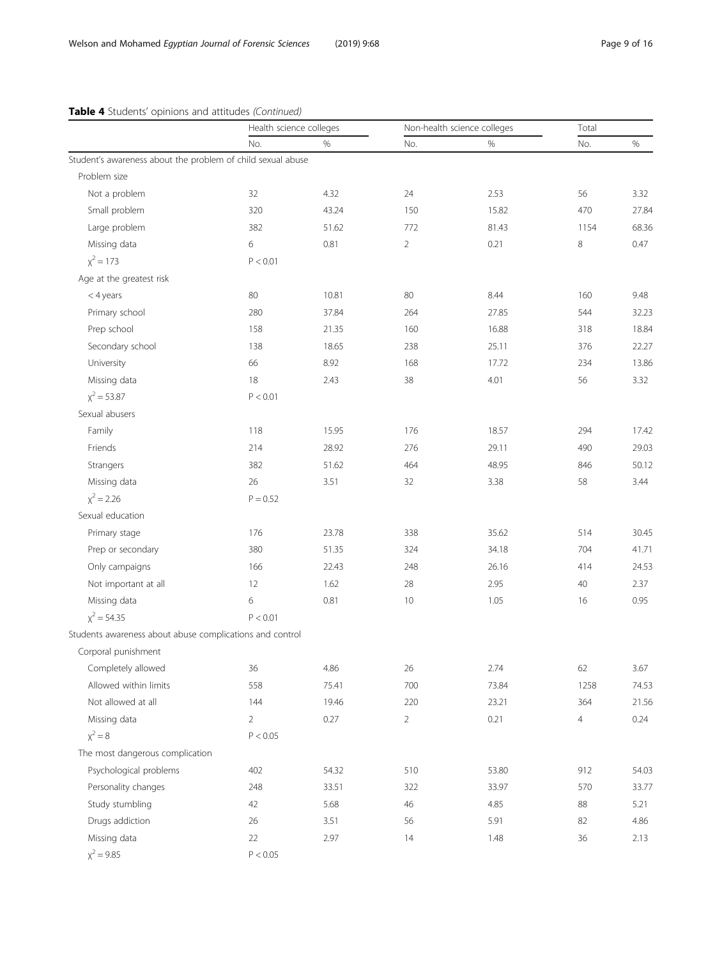# Table 4 Students' opinions and attitudes (Continued)

|                                                             | Health science colleges |       | Non-health science colleges |       | Total |       |
|-------------------------------------------------------------|-------------------------|-------|-----------------------------|-------|-------|-------|
|                                                             | No.                     | $\%$  | No.                         | $\%$  | No.   | $\%$  |
| Student's awareness about the problem of child sexual abuse |                         |       |                             |       |       |       |
| Problem size                                                |                         |       |                             |       |       |       |
| Not a problem                                               | 32                      | 4.32  | 24                          | 2.53  | 56    | 3.32  |
| Small problem                                               | 320                     | 43.24 | 150                         | 15.82 | 470   | 27.84 |
| Large problem                                               | 382                     | 51.62 | 772                         | 81.43 | 1154  | 68.36 |
| Missing data                                                | 6                       | 0.81  | $\overline{2}$              | 0.21  | 8     | 0.47  |
| $x^2 = 173$                                                 | P < 0.01                |       |                             |       |       |       |
| Age at the greatest risk                                    |                         |       |                             |       |       |       |
| < 4 years                                                   | 80                      | 10.81 | 80                          | 8.44  | 160   | 9.48  |
| Primary school                                              | 280                     | 37.84 | 264                         | 27.85 | 544   | 32.23 |
| Prep school                                                 | 158                     | 21.35 | 160                         | 16.88 | 318   | 18.84 |
| Secondary school                                            | 138                     | 18.65 | 238                         | 25.11 | 376   | 22.27 |
| University                                                  | 66                      | 8.92  | 168                         | 17.72 | 234   | 13.86 |
| Missing data                                                | 18                      | 2.43  | 38                          | 4.01  | 56    | 3.32  |
| $x^2 = 53.87$                                               | P < 0.01                |       |                             |       |       |       |
| Sexual abusers                                              |                         |       |                             |       |       |       |
| Family                                                      | 118                     | 15.95 | 176                         | 18.57 | 294   | 17.42 |
| Friends                                                     | 214                     | 28.92 | 276                         | 29.11 | 490   | 29.03 |
| Strangers                                                   | 382                     | 51.62 | 464                         | 48.95 | 846   | 50.12 |
| Missing data                                                | 26                      | 3.51  | 32                          | 3.38  | 58    | 3.44  |
| $x^2 = 2.26$                                                | $P = 0.52$              |       |                             |       |       |       |
| Sexual education                                            |                         |       |                             |       |       |       |
| Primary stage                                               | 176                     | 23.78 | 338                         | 35.62 | 514   | 30.45 |
| Prep or secondary                                           | 380                     | 51.35 | 324                         | 34.18 | 704   | 41.71 |
| Only campaigns                                              | 166                     | 22.43 | 248                         | 26.16 | 414   | 24.53 |
| Not important at all                                        | 12                      | 1.62  | 28                          | 2.95  | 40    | 2.37  |
| Missing data                                                | 6                       | 0.81  | 10                          | 1.05  | 16    | 0.95  |
| $x^2 = 54.35$                                               | P < 0.01                |       |                             |       |       |       |
| Students awareness about abuse complications and control    |                         |       |                             |       |       |       |
| Corporal punishment                                         |                         |       |                             |       |       |       |
| Completely allowed                                          | 36                      | 4.86  | 26                          | 2.74  | 62    | 3.67  |
| Allowed within limits                                       | 558                     | 75.41 | 700                         | 73.84 | 1258  | 74.53 |
| Not allowed at all                                          | 144                     | 19.46 | 220                         | 23.21 | 364   | 21.56 |
| Missing data                                                | $\overline{2}$          | 0.27  | $\overline{2}$              | 0.21  | 4     | 0.24  |
| $x^2 = 8$                                                   | P < 0.05                |       |                             |       |       |       |
| The most dangerous complication                             |                         |       |                             |       |       |       |
| Psychological problems                                      | 402                     | 54.32 | 510                         | 53.80 | 912   | 54.03 |
| Personality changes                                         | 248                     | 33.51 | 322                         | 33.97 | 570   | 33.77 |
| Study stumbling                                             | 42                      | 5.68  | 46                          | 4.85  | 88    | 5.21  |
| Drugs addiction                                             | 26                      | 3.51  | 56                          | 5.91  | 82    | 4.86  |
| Missing data                                                | 22                      | 2.97  | 14                          | 1.48  | 36    | 2.13  |
| $x^2 = 9.85$                                                | P < 0.05                |       |                             |       |       |       |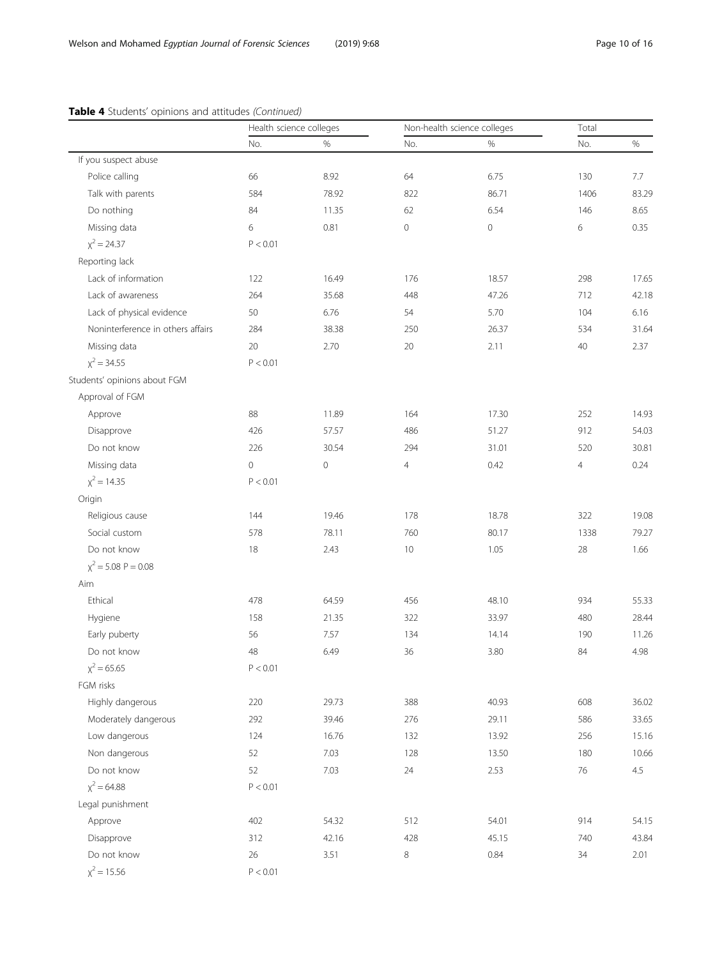|                                   | Health science colleges |             |                | Non-health science colleges |                | Total |  |
|-----------------------------------|-------------------------|-------------|----------------|-----------------------------|----------------|-------|--|
|                                   | No.                     | %           | No.            | $\%$                        | No.            | $\%$  |  |
| If you suspect abuse              |                         |             |                |                             |                |       |  |
| Police calling                    | 66                      | 8.92        | 64             | 6.75                        | 130            | 7.7   |  |
| Talk with parents                 | 584                     | 78.92       | 822            | 86.71                       | 1406           | 83.29 |  |
| Do nothing                        | 84                      | 11.35       | 62             | 6.54                        | 146            | 8.65  |  |
| Missing data                      | 6                       | 0.81        | 0              | $\mathbf 0$                 | 6              | 0.35  |  |
| $x^2 = 24.37$                     | P < 0.01                |             |                |                             |                |       |  |
| Reporting lack                    |                         |             |                |                             |                |       |  |
| Lack of information               | 122                     | 16.49       | 176            | 18.57                       | 298            | 17.65 |  |
| Lack of awareness                 | 264                     | 35.68       | 448            | 47.26                       | 712            | 42.18 |  |
| Lack of physical evidence         | 50                      | 6.76        | 54             | 5.70                        | 104            | 6.16  |  |
| Noninterference in others affairs | 284                     | 38.38       | 250            | 26.37                       | 534            | 31.64 |  |
| Missing data                      | 20                      | 2.70        | 20             | 2.11                        | $40\,$         | 2.37  |  |
| $x^2 = 34.55$                     | P < 0.01                |             |                |                             |                |       |  |
| Students' opinions about FGM      |                         |             |                |                             |                |       |  |
| Approval of FGM                   |                         |             |                |                             |                |       |  |
| Approve                           | 88                      | 11.89       | 164            | 17.30                       | 252            | 14.93 |  |
| Disapprove                        | 426                     | 57.57       | 486            | 51.27                       | 912            | 54.03 |  |
| Do not know                       | 226                     | 30.54       | 294            | 31.01                       | 520            | 30.81 |  |
| Missing data                      | 0                       | $\mathbf 0$ | $\overline{4}$ | 0.42                        | $\overline{4}$ | 0.24  |  |
| $x^2 = 14.35$                     | P < 0.01                |             |                |                             |                |       |  |
| Origin                            |                         |             |                |                             |                |       |  |
| Religious cause                   | 144                     | 19.46       | 178            | 18.78                       | 322            | 19.08 |  |
| Social custom                     | 578                     | 78.11       | 760            | 80.17                       | 1338           | 79.27 |  |
| Do not know                       | 18                      | 2.43        | 10             | 1.05                        | 28             | 1.66  |  |
| $\chi^2$ = 5.08 P = 0.08          |                         |             |                |                             |                |       |  |
| Aim                               |                         |             |                |                             |                |       |  |
| Ethical                           | 478                     | 64.59       | 456            | 48.10                       | 934            | 55.33 |  |
| Hygiene                           | 158                     | 21.35       | 322            | 33.97                       | 480            | 28.44 |  |
| Early puberty                     | 56                      | 7.57        | 134            | 14.14                       | 190            | 11.26 |  |
| Do not know                       | 48                      | 6.49        | 36             | 3.80                        | 84             | 4.98  |  |
| $x^2$ = 65.65                     | P < 0.01                |             |                |                             |                |       |  |
| FGM risks                         |                         |             |                |                             |                |       |  |
| Highly dangerous                  | 220                     | 29.73       | 388            | 40.93                       | 608            | 36.02 |  |
| Moderately dangerous              | 292                     | 39.46       | 276            | 29.11                       | 586            | 33.65 |  |
| Low dangerous                     | 124                     | 16.76       | 132            | 13.92                       | 256            | 15.16 |  |
| Non dangerous                     | 52                      | 7.03        | 128            | 13.50                       | 180            | 10.66 |  |
| Do not know                       | 52                      | 7.03        | 24             | 2.53                        | 76             | 4.5   |  |
| $x^2 = 64.88$                     | P < 0.01                |             |                |                             |                |       |  |
| Legal punishment                  |                         |             |                |                             |                |       |  |
| Approve                           | 402                     | 54.32       | 512            | 54.01                       | 914            | 54.15 |  |
| Disapprove                        | 312                     | 42.16       | 428            | 45.15                       | 740            | 43.84 |  |
| Do not know                       | 26                      | 3.51        | 8              | 0.84                        | 34             | 2.01  |  |
| $x^2 = 15.56$                     | P < 0.01                |             |                |                             |                |       |  |

# Table 4 Students' opinions and attitudes (Continued)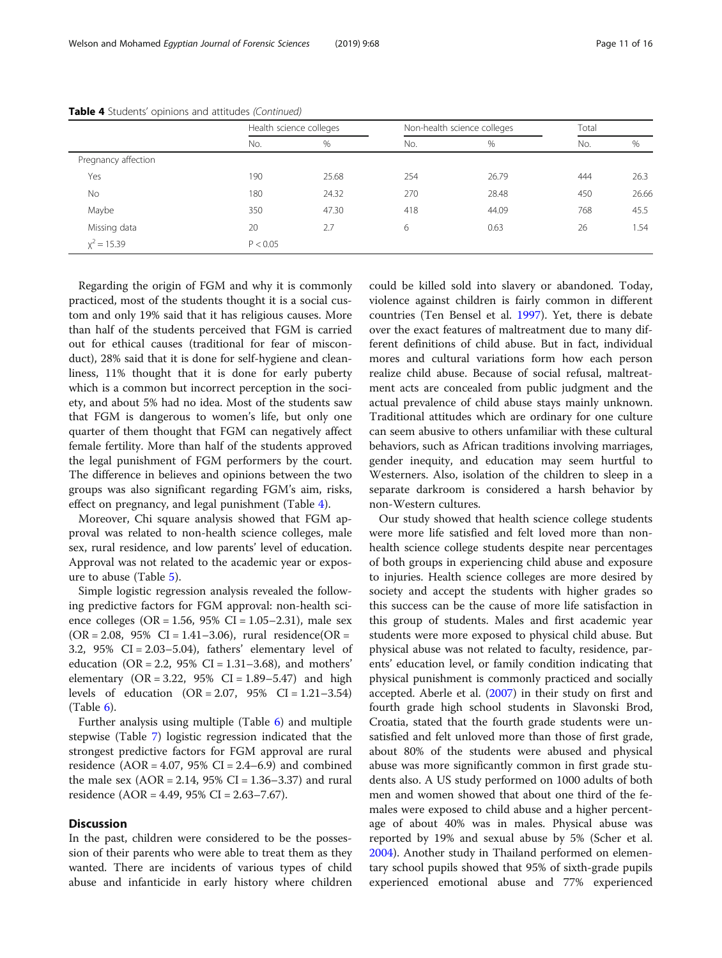|                     | Health science colleges |       | Non-health science colleges |       | Total |       |
|---------------------|-------------------------|-------|-----------------------------|-------|-------|-------|
|                     | No.                     | %     | No.                         | %     | No.   | $\%$  |
| Pregnancy affection |                         |       |                             |       |       |       |
| Yes                 | 190                     | 25.68 | 254                         | 26.79 | 444   | 26.3  |
| No                  | 180                     | 24.32 | 270                         | 28.48 | 450   | 26.66 |
| Maybe               | 350                     | 47.30 | 418                         | 44.09 | 768   | 45.5  |
| Missing data        | 20                      | 2.7   | 6                           | 0.63  | 26    | 1.54  |
| $x^2 = 15.39$       | P < 0.05                |       |                             |       |       |       |

Table 4 Students' opinions and attitudes (Continued)

Regarding the origin of FGM and why it is commonly practiced, most of the students thought it is a social custom and only 19% said that it has religious causes. More than half of the students perceived that FGM is carried out for ethical causes (traditional for fear of misconduct), 28% said that it is done for self-hygiene and cleanliness, 11% thought that it is done for early puberty which is a common but incorrect perception in the society, and about 5% had no idea. Most of the students saw that FGM is dangerous to women's life, but only one quarter of them thought that FGM can negatively affect female fertility. More than half of the students approved the legal punishment of FGM performers by the court. The difference in believes and opinions between the two groups was also significant regarding FGM's aim, risks, effect on pregnancy, and legal punishment (Table [4\)](#page-7-0).

Moreover, Chi square analysis showed that FGM approval was related to non-health science colleges, male sex, rural residence, and low parents' level of education. Approval was not related to the academic year or exposure to abuse (Table [5](#page-11-0)).

Simple logistic regression analysis revealed the following predictive factors for FGM approval: non-health science colleges (OR = 1.56, 95% CI = 1.05–2.31), male sex  $(OR = 2.08, 95\% \text{ CI} = 1.41 - 3.06)$ , rural residence $(OR = 1.41 - 3.06)$ 3.2, 95% CI = 2.03–5.04), fathers' elementary level of education (OR = 2.2,  $95\%$  CI = 1.31–3.68), and mothers' elementary  $(OR = 3.22, 95\% \text{ CI} = 1.89 - 5.47)$  and high levels of education  $(OR = 2.07, 95\% \text{ CI} = 1.21 - 3.54)$ (Table [6\)](#page-12-0).

Further analysis using multiple (Table [6](#page-12-0)) and multiple stepwise (Table [7](#page-12-0)) logistic regression indicated that the strongest predictive factors for FGM approval are rural residence (AOR =  $4.07$ ,  $95\%$  CI =  $2.4-6.9$ ) and combined the male sex  $(AOR = 2.14, 95\% CI = 1.36 - 3.37)$  and rural residence (AOR = 4.49, 95% CI = 2.63–7.67).

# **Discussion**

In the past, children were considered to be the possession of their parents who were able to treat them as they wanted. There are incidents of various types of child abuse and infanticide in early history where children could be killed sold into slavery or abandoned. Today, violence against children is fairly common in different countries (Ten Bensel et al. [1997](#page-15-0)). Yet, there is debate over the exact features of maltreatment due to many different definitions of child abuse. But in fact, individual mores and cultural variations form how each person realize child abuse. Because of social refusal, maltreatment acts are concealed from public judgment and the actual prevalence of child abuse stays mainly unknown. Traditional attitudes which are ordinary for one culture can seem abusive to others unfamiliar with these cultural behaviors, such as African traditions involving marriages, gender inequity, and education may seem hurtful to Westerners. Also, isolation of the children to sleep in a separate darkroom is considered a harsh behavior by non-Western cultures.

Our study showed that health science college students were more life satisfied and felt loved more than nonhealth science college students despite near percentages of both groups in experiencing child abuse and exposure to injuries. Health science colleges are more desired by society and accept the students with higher grades so this success can be the cause of more life satisfaction in this group of students. Males and first academic year students were more exposed to physical child abuse. But physical abuse was not related to faculty, residence, parents' education level, or family condition indicating that physical punishment is commonly practiced and socially accepted. Aberle et al. ([2007](#page-14-0)) in their study on first and fourth grade high school students in Slavonski Brod, Croatia, stated that the fourth grade students were unsatisfied and felt unloved more than those of first grade, about 80% of the students were abused and physical abuse was more significantly common in first grade students also. A US study performed on 1000 adults of both men and women showed that about one third of the females were exposed to child abuse and a higher percentage of about 40% was in males. Physical abuse was reported by 19% and sexual abuse by 5% (Scher et al. [2004](#page-14-0)). Another study in Thailand performed on elementary school pupils showed that 95% of sixth-grade pupils experienced emotional abuse and 77% experienced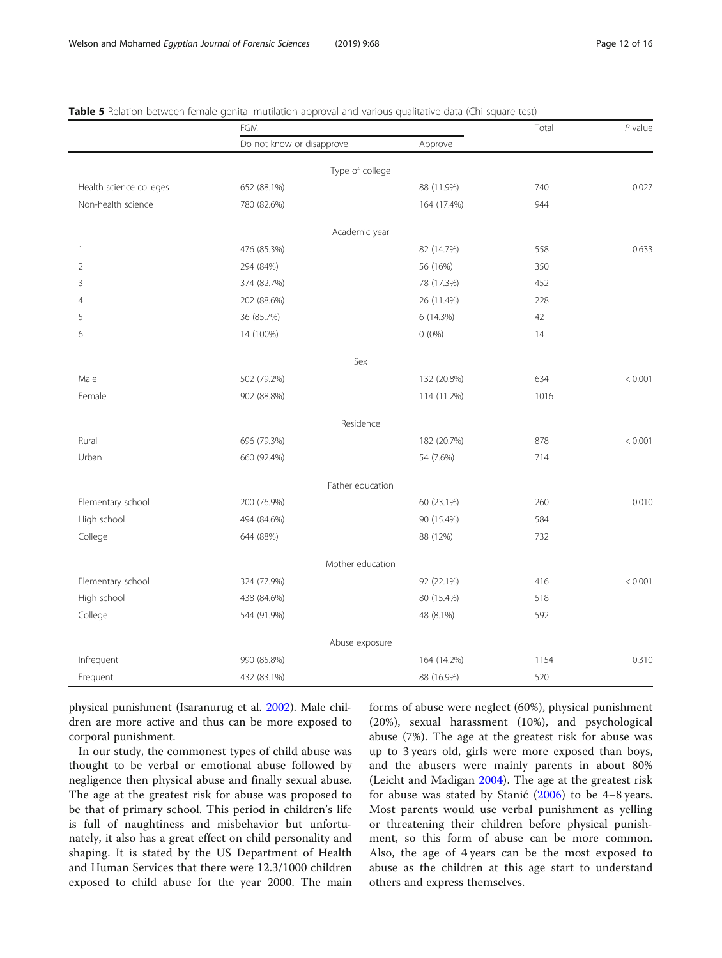|                         | FGM                       |                  | Total | $P$ value |
|-------------------------|---------------------------|------------------|-------|-----------|
|                         | Do not know or disapprove | Approve          |       |           |
|                         |                           | Type of college  |       |           |
| Health science colleges | 652 (88.1%)               | 88 (11.9%)       | 740   | 0.027     |
| Non-health science      | 780 (82.6%)               | 164 (17.4%)      | 944   |           |
|                         |                           | Academic year    |       |           |
| 1                       | 476 (85.3%)               | 82 (14.7%)       | 558   | 0.633     |
| $\overline{2}$          | 294 (84%)                 | 56 (16%)         | 350   |           |
| 3                       | 374 (82.7%)               | 78 (17.3%)       | 452   |           |
| 4                       | 202 (88.6%)               | 26 (11.4%)       | 228   |           |
| 5                       | 36 (85.7%)                | 6 (14.3%)        | 42    |           |
| 6                       | 14 (100%)                 | $0(0\%)$         | 14    |           |
|                         |                           | Sex              |       |           |
| Male                    | 502 (79.2%)               | 132 (20.8%)      | 634   | < 0.001   |
| Female                  | 902 (88.8%)               | 114 (11.2%)      | 1016  |           |
|                         |                           | Residence        |       |           |
| Rural                   | 696 (79.3%)               | 182 (20.7%)      | 878   | < 0.001   |
| Urban                   | 660 (92.4%)               | 54 (7.6%)        | 714   |           |
|                         |                           | Father education |       |           |
| Elementary school       | 200 (76.9%)               | 60 (23.1%)       | 260   | 0.010     |
| High school             | 494 (84.6%)               | 90 (15.4%)       | 584   |           |
| College                 | 644 (88%)                 | 88 (12%)         | 732   |           |
|                         |                           | Mother education |       |           |
| Elementary school       | 324 (77.9%)               | 92 (22.1%)       | 416   | < 0.001   |
| High school             | 438 (84.6%)               | 80 (15.4%)       | 518   |           |
| College                 | 544 (91.9%)               | 48 (8.1%)        | 592   |           |
|                         |                           | Abuse exposure   |       |           |
| Infrequent              | 990 (85.8%)               | 164 (14.2%)      | 1154  | 0.310     |
| Frequent                | 432 (83.1%)               | 88 (16.9%)       | 520   |           |

<span id="page-11-0"></span>Table 5 Relation between female genital mutilation approval and various qualitative data (Chi square test)

physical punishment (Isaranurug et al. [2002](#page-14-0)). Male children are more active and thus can be more exposed to corporal punishment.

In our study, the commonest types of child abuse was thought to be verbal or emotional abuse followed by negligence then physical abuse and finally sexual abuse. The age at the greatest risk for abuse was proposed to be that of primary school. This period in children's life is full of naughtiness and misbehavior but unfortunately, it also has a great effect on child personality and shaping. It is stated by the US Department of Health and Human Services that there were 12.3/1000 children exposed to child abuse for the year 2000. The main forms of abuse were neglect (60%), physical punishment (20%), sexual harassment (10%), and psychological abuse (7%). The age at the greatest risk for abuse was up to 3 years old, girls were more exposed than boys, and the abusers were mainly parents in about 80% (Leicht and Madigan [2004](#page-14-0)). The age at the greatest risk for abuse was stated by Stanić [\(2006](#page-15-0)) to be 4–8 years. Most parents would use verbal punishment as yelling or threatening their children before physical punishment, so this form of abuse can be more common. Also, the age of 4 years can be the most exposed to abuse as the children at this age start to understand others and express themselves.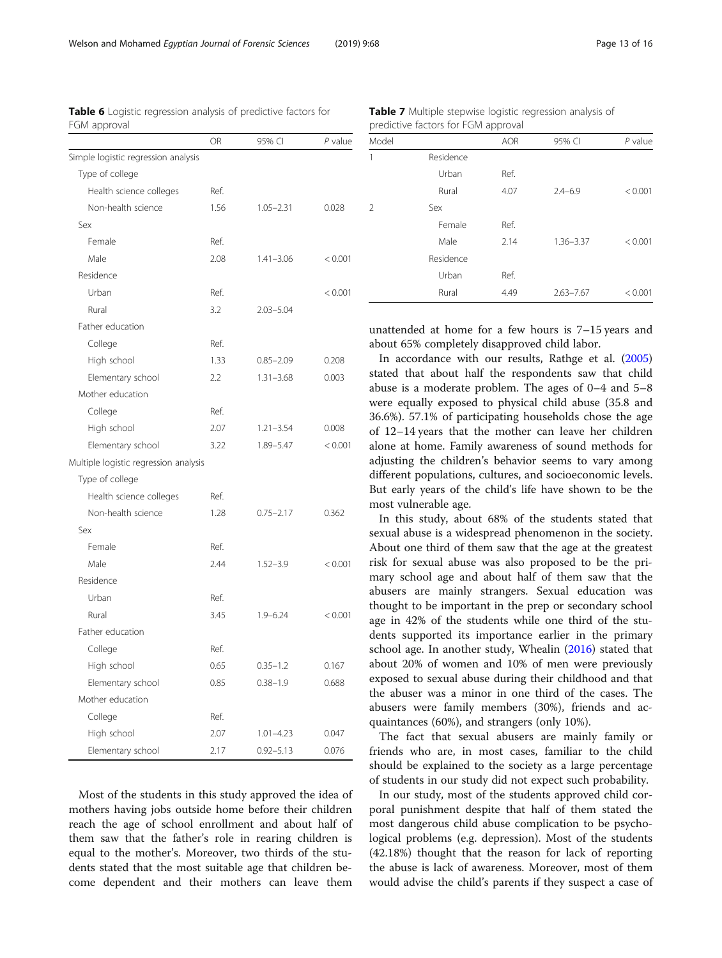|                |         | sexual abuse is a widespread phenomenon in the society.<br>About one third of them saw that the age at the greatest |
|----------------|---------|---------------------------------------------------------------------------------------------------------------------|
| 3.9            | < 0.001 | risk for sexual abuse was also proposed to be the pri-                                                              |
|                |         | mary school age and about half of them saw that the<br>abusers are mainly strangers. Sexual education was           |
| 24             | < 0.001 | thought to be important in the prep or secondary school<br>age in 42% of the students while one third of the stu-   |
|                |         | dents supported its importance earlier in the primary                                                               |
|                |         | school age. In another study, Whealin (2016) stated that                                                            |
| $\overline{2}$ | 0.167   | about 20% of women and 10% of men were previously                                                                   |
| $\overline{9}$ | 0.688   | exposed to sexual abuse during their childhood and that                                                             |
|                |         | the abuser was a minor in one third of the cases. The                                                               |
|                |         | abusers were family members (30%), friends and ac-                                                                  |
|                |         | quaintances (60%), and strangers (only 10%).                                                                        |
| 1.23           | 0.047   | The fact that sexual abusers are mainly family or                                                                   |
|                |         |                                                                                                                     |

most vulnerable age.

In accordance with our results, Rathge et al. ([2005](#page-14-0)) stated that about half the respondents saw that child abuse is a moderate problem. The ages of 0–4 and 5–8 were equally exposed to physical child abuse (35.8 and 36.6%). 57.1% of participating households chose the age of 12–14 years that the mother can leave her children alone at home. Family awareness of sound methods for adjusting the children's behavior seems to vary among

different populations, cultures, and socioeconomic levels. But early years of the child's life have shown to be the

In this study, about 68% of the students stated that

friends who are, in most cases, familiar to the child should be explained to the society as a large percentage of students in our study did not expect such probability. In our study, most of the students approved child corporal punishment despite that half of them stated the most dangerous child abuse complication to be psychological problems (e.g. depression). Most of the students (42.18%) thought that the reason for lack of reporting the abuse is lack of awareness. Moreover, most of them would advise the child's parents if they suspect a case of

unattended at home for a few hours is 7–15 years and about 65% completely disapproved child labor.

2 Sex Female Ref.

Model **AOR** 95% CI P value

Rural 4.07 2.4–6.9 < 0.001

Male 2.14 1.36–3.37 < 0.001

Rural 4.49 2.63–7.67 < 0.001

|                                     |  | <b>Table 7</b> Multiple stepwise logistic regression analysis of |  |
|-------------------------------------|--|------------------------------------------------------------------|--|
| predictive factors for FGM approval |  |                                                                  |  |

Urban Ref.

Urban Ref.

Residence

1 Residence

OR 95% CI P value

<span id="page-12-0"></span>Table 6 Logistic regression analysis of predictive factors for

FGM approval

| Simple logistic regression analysis   |      |               |         |
|---------------------------------------|------|---------------|---------|
| Type of college                       |      |               |         |
| Health science colleges               | Ref. |               |         |
| Non-health science                    | 1.56 | $1.05 - 2.31$ | 0.028   |
| Sex                                   |      |               |         |
| Female                                | Ref. |               |         |
| Male                                  | 2.08 | $1.41 - 3.06$ | < 0.001 |
| Residence                             |      |               |         |
| Urban                                 | Ref. |               | < 0.001 |
| Rural                                 | 3.2  | $2.03 - 5.04$ |         |
| Father education                      |      |               |         |
| College                               | Ref. |               |         |
| High school                           | 1.33 | $0.85 - 2.09$ | 0.208   |
| Elementary school                     | 2.2  | $1.31 - 3.68$ | 0.003   |
| Mother education                      |      |               |         |
| College                               | Ref. |               |         |
| High school                           | 2.07 | $1.21 - 3.54$ | 0.008   |
| Elementary school                     | 3.22 | 1.89-5.47     | < 0.001 |
| Multiple logistic regression analysis |      |               |         |
| Type of college                       |      |               |         |
| Health science colleges               | Ref. |               |         |
| Non-health science                    | 1.28 | $0.75 - 2.17$ | 0.362   |
| Sex                                   |      |               |         |
| Female                                | Ref. |               |         |
| Male                                  | 2.44 | $1.52 - 3.9$  | < 0.001 |
| Residence                             |      |               |         |
| Urban                                 | Ref. |               |         |
| Rural                                 | 3.45 | $1.9 - 6.24$  | < 0.001 |
| Father education                      |      |               |         |
| College                               | Ref. |               |         |
| High school                           | 0.65 | $0.35 - 1.2$  | 0.167   |
| Elementary school                     | 0.85 | $0.38 - 1.9$  | 0.688   |
| Mother education                      |      |               |         |
| College                               | Ref. |               |         |
| High school                           | 2.07 | $1.01 - 4.23$ | 0.047   |
| Elementary school                     | 2.17 | $0.92 - 5.13$ | 0.076   |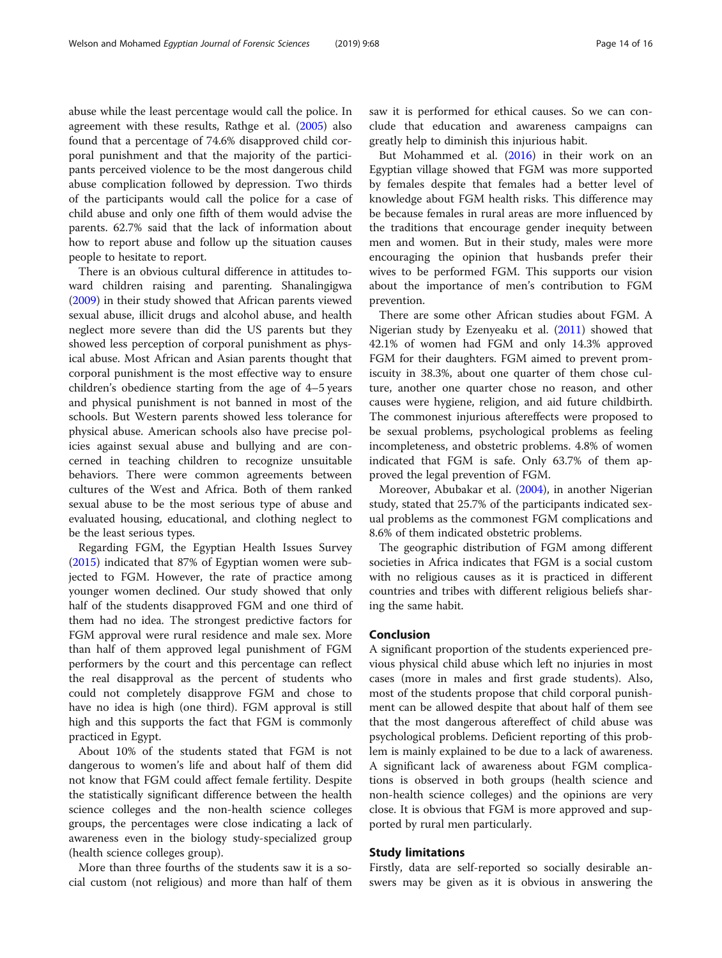abuse while the least percentage would call the police. In agreement with these results, Rathge et al. [\(2005\)](#page-14-0) also found that a percentage of 74.6% disapproved child corporal punishment and that the majority of the participants perceived violence to be the most dangerous child abuse complication followed by depression. Two thirds of the participants would call the police for a case of child abuse and only one fifth of them would advise the parents. 62.7% said that the lack of information about how to report abuse and follow up the situation causes people to hesitate to report.

There is an obvious cultural difference in attitudes toward children raising and parenting. Shanalingigwa ([2009](#page-14-0)) in their study showed that African parents viewed sexual abuse, illicit drugs and alcohol abuse, and health neglect more severe than did the US parents but they showed less perception of corporal punishment as physical abuse. Most African and Asian parents thought that corporal punishment is the most effective way to ensure children's obedience starting from the age of 4–5 years and physical punishment is not banned in most of the schools. But Western parents showed less tolerance for physical abuse. American schools also have precise policies against sexual abuse and bullying and are concerned in teaching children to recognize unsuitable behaviors. There were common agreements between cultures of the West and Africa. Both of them ranked sexual abuse to be the most serious type of abuse and evaluated housing, educational, and clothing neglect to be the least serious types.

Regarding FGM, the Egyptian Health Issues Survey ([2015](#page-14-0)) indicated that 87% of Egyptian women were subjected to FGM. However, the rate of practice among younger women declined. Our study showed that only half of the students disapproved FGM and one third of them had no idea. The strongest predictive factors for FGM approval were rural residence and male sex. More than half of them approved legal punishment of FGM performers by the court and this percentage can reflect the real disapproval as the percent of students who could not completely disapprove FGM and chose to have no idea is high (one third). FGM approval is still high and this supports the fact that FGM is commonly practiced in Egypt.

About 10% of the students stated that FGM is not dangerous to women's life and about half of them did not know that FGM could affect female fertility. Despite the statistically significant difference between the health science colleges and the non-health science colleges groups, the percentages were close indicating a lack of awareness even in the biology study-specialized group (health science colleges group).

More than three fourths of the students saw it is a social custom (not religious) and more than half of them saw it is performed for ethical causes. So we can conclude that education and awareness campaigns can greatly help to diminish this injurious habit.

But Mohammed et al. [\(2016](#page-14-0)) in their work on an Egyptian village showed that FGM was more supported by females despite that females had a better level of knowledge about FGM health risks. This difference may be because females in rural areas are more influenced by the traditions that encourage gender inequity between men and women. But in their study, males were more encouraging the opinion that husbands prefer their wives to be performed FGM. This supports our vision about the importance of men's contribution to FGM prevention.

There are some other African studies about FGM. A Nigerian study by Ezenyeaku et al. [\(2011\)](#page-14-0) showed that 42.1% of women had FGM and only 14.3% approved FGM for their daughters. FGM aimed to prevent promiscuity in 38.3%, about one quarter of them chose culture, another one quarter chose no reason, and other causes were hygiene, religion, and aid future childbirth. The commonest injurious aftereffects were proposed to be sexual problems, psychological problems as feeling incompleteness, and obstetric problems. 4.8% of women indicated that FGM is safe. Only 63.7% of them approved the legal prevention of FGM.

Moreover, Abubakar et al. ([2004](#page-14-0)), in another Nigerian study, stated that 25.7% of the participants indicated sexual problems as the commonest FGM complications and 8.6% of them indicated obstetric problems.

The geographic distribution of FGM among different societies in Africa indicates that FGM is a social custom with no religious causes as it is practiced in different countries and tribes with different religious beliefs sharing the same habit.

# Conclusion

A significant proportion of the students experienced previous physical child abuse which left no injuries in most cases (more in males and first grade students). Also, most of the students propose that child corporal punishment can be allowed despite that about half of them see that the most dangerous aftereffect of child abuse was psychological problems. Deficient reporting of this problem is mainly explained to be due to a lack of awareness. A significant lack of awareness about FGM complications is observed in both groups (health science and non-health science colleges) and the opinions are very close. It is obvious that FGM is more approved and supported by rural men particularly.

# Study limitations

Firstly, data are self-reported so socially desirable answers may be given as it is obvious in answering the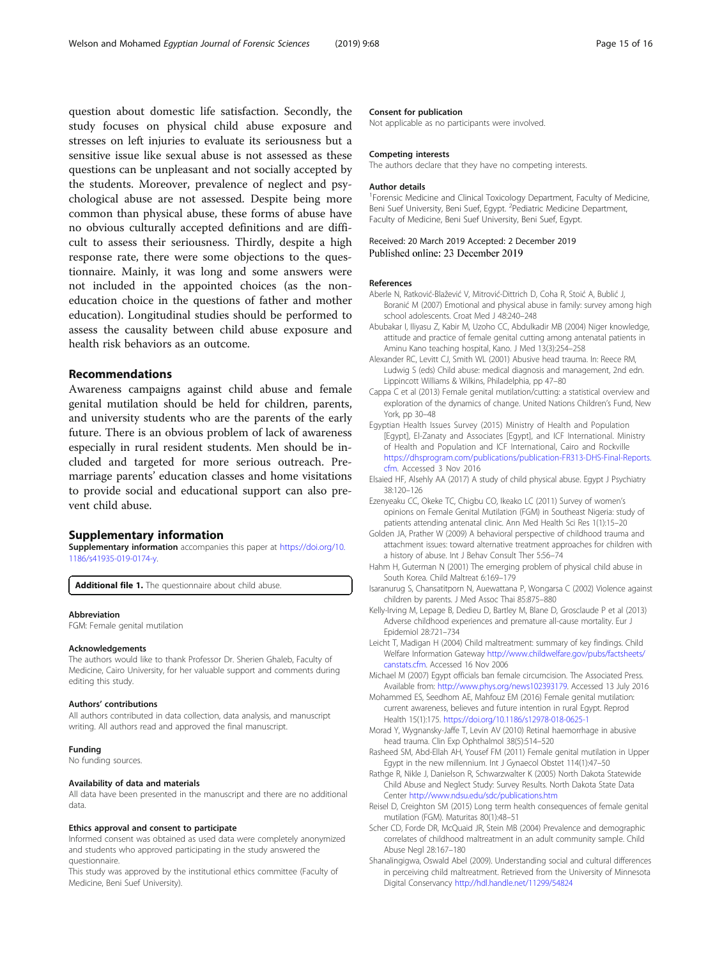<span id="page-14-0"></span>question about domestic life satisfaction. Secondly, the study focuses on physical child abuse exposure and stresses on left injuries to evaluate its seriousness but a sensitive issue like sexual abuse is not assessed as these questions can be unpleasant and not socially accepted by the students. Moreover, prevalence of neglect and psychological abuse are not assessed. Despite being more common than physical abuse, these forms of abuse have no obvious culturally accepted definitions and are difficult to assess their seriousness. Thirdly, despite a high response rate, there were some objections to the questionnaire. Mainly, it was long and some answers were not included in the appointed choices (as the noneducation choice in the questions of father and mother education). Longitudinal studies should be performed to assess the causality between child abuse exposure and health risk behaviors as an outcome.

# Recommendations

Awareness campaigns against child abuse and female genital mutilation should be held for children, parents, and university students who are the parents of the early future. There is an obvious problem of lack of awareness especially in rural resident students. Men should be included and targeted for more serious outreach. Premarriage parents' education classes and home visitations to provide social and educational support can also prevent child abuse.

# Supplementary information

Supplementary information accompanies this paper at [https://doi.org/10.](https://doi.org/10.1186/s41935-019-0174-y) [1186/s41935-019-0174-y](https://doi.org/10.1186/s41935-019-0174-y).

Additional file 1. The questionnaire about child abuse.

#### Abbreviation

FGM: Female genital mutilation

#### Acknowledgements

The authors would like to thank Professor Dr. Sherien Ghaleb, Faculty of Medicine, Cairo University, for her valuable support and comments during editing this study.

#### Authors' contributions

All authors contributed in data collection, data analysis, and manuscript writing. All authors read and approved the final manuscript.

#### Funding

No funding sources.

# Availability of data and materials

All data have been presented in the manuscript and there are no additional data.

#### Ethics approval and consent to participate

Informed consent was obtained as used data were completely anonymized and students who approved participating in the study answered the questionnaire.

This study was approved by the institutional ethics committee (Faculty of Medicine, Beni Suef University).

# Consent for publication

Not applicable as no participants were involved.

#### Competing interests

The authors declare that they have no competing interests.

#### Author details

<sup>1</sup> Forensic Medicine and Clinical Toxicology Department, Faculty of Medicine, Beni Suef University, Beni Suef, Egypt. <sup>2</sup>Pediatric Medicine Department, Faculty of Medicine, Beni Suef University, Beni Suef, Egypt.

Received: 20 March 2019 Accepted: 2 December 2019 Published online: 23 December 2019

# References

- Aberle N, Ratković-Blažević V, Mitrović-Dittrich D, Coha R, Stoić A, Bublić J, Boranić M (2007) Emotional and physical abuse in family: survey among high school adolescents. Croat Med J 48:240–248
- Abubakar I, Iliyasu Z, Kabir M, Uzoho CC, Abdulkadir MB (2004) Niger knowledge, attitude and practice of female genital cutting among antenatal patients in Aminu Kano teaching hospital, Kano. J Med 13(3):254–258
- Alexander RC, Levitt CJ, Smith WL (2001) Abusive head trauma. In: Reece RM, Ludwig S (eds) Child abuse: medical diagnosis and management, 2nd edn. Lippincott Williams & Wilkins, Philadelphia, pp 47–80
- Cappa C et al (2013) Female genital mutilation/cutting: a statistical overview and exploration of the dynamics of change. United Nations Children's Fund, New York, pp 30–48
- Egyptian Health Issues Survey (2015) Ministry of Health and Population [Egypt], El-Zanaty and Associates [Egypt], and ICF International. Ministry of Health and Population and ICF International, Cairo and Rockville [https://dhsprogram.com/publications/publication-FR313-DHS-Final-Reports.](https://dhsprogram.com/publications/publication-FR313-DHS-Final-Reports.cfm) [cfm.](https://dhsprogram.com/publications/publication-FR313-DHS-Final-Reports.cfm) Accessed 3 Nov 2016
- Elsaied HF, Alsehly AA (2017) A study of child physical abuse. Egypt J Psychiatry 38:120–126
- Ezenyeaku CC, Okeke TC, Chigbu CO, Ikeako LC (2011) Survey of women's opinions on Female Genital Mutilation (FGM) in Southeast Nigeria: study of patients attending antenatal clinic. Ann Med Health Sci Res 1(1):15–20
- Golden JA, Prather W (2009) A behavioral perspective of childhood trauma and attachment issues: toward alternative treatment approaches for children with a history of abuse. Int J Behav Consult Ther 5:56–74
- Hahm H, Guterman N (2001) The emerging problem of physical child abuse in South Korea. Child Maltreat 6:169–179
- Isaranurug S, Chansatitporn N, Auewattana P, Wongarsa C (2002) Violence against children by parents. J Med Assoc Thai 85:875–880
- Kelly-Irving M, Lepage B, Dedieu D, Bartley M, Blane D, Grosclaude P et al (2013) Adverse childhood experiences and premature all-cause mortality. Eur J Epidemiol 28:721–734
- Leicht T, Madigan H (2004) Child maltreatment: summary of key findings. Child Welfare Information Gateway [http://www.childwelfare.gov/pubs/factsheets/](http://www.childwelfare.gov/pubs/factsheets/canstats.cfm) [canstats.cfm](http://www.childwelfare.gov/pubs/factsheets/canstats.cfm). Accessed 16 Nov 2006

Michael M (2007) Egypt officials ban female circumcision. The Associated Press. Available from: <http://www.phys.org/news102393179>. Accessed 13 July 2016

- Mohammed ES, Seedhom AE, Mahfouz EM (2016) Female genital mutilation: current awareness, believes and future intention in rural Egypt. Reprod Health 15(1):175. <https://doi.org/10.1186/s12978-018-0625-1>
- Morad Y, Wygnansky-Jaffe T, Levin AV (2010) Retinal haemorrhage in abusive head trauma. Clin Exp Ophthalmol 38(5):514–520
- Rasheed SM, Abd-Ellah AH, Yousef FM (2011) Female genital mutilation in Upper Egypt in the new millennium. Int J Gynaecol Obstet 114(1):47–50
- Rathge R, Nikle J, Danielson R, Schwarzwalter K (2005) North Dakota Statewide Child Abuse and Neglect Study: Survey Results. North Dakota State Data Center <http://www.ndsu.edu/sdc/publications.htm>
- Reisel D, Creighton SM (2015) Long term health consequences of female genital mutilation (FGM). Maturitas 80(1):48–51
- Scher CD, Forde DR, McQuaid JR, Stein MB (2004) Prevalence and demographic correlates of childhood maltreatment in an adult community sample. Child Abuse Negl 28:167–180
- Shanalingigwa, Oswald Abel (2009). Understanding social and cultural differences in perceiving child maltreatment. Retrieved from the University of Minnesota Digital Conservancy <http://hdl.handle.net/11299/54824>